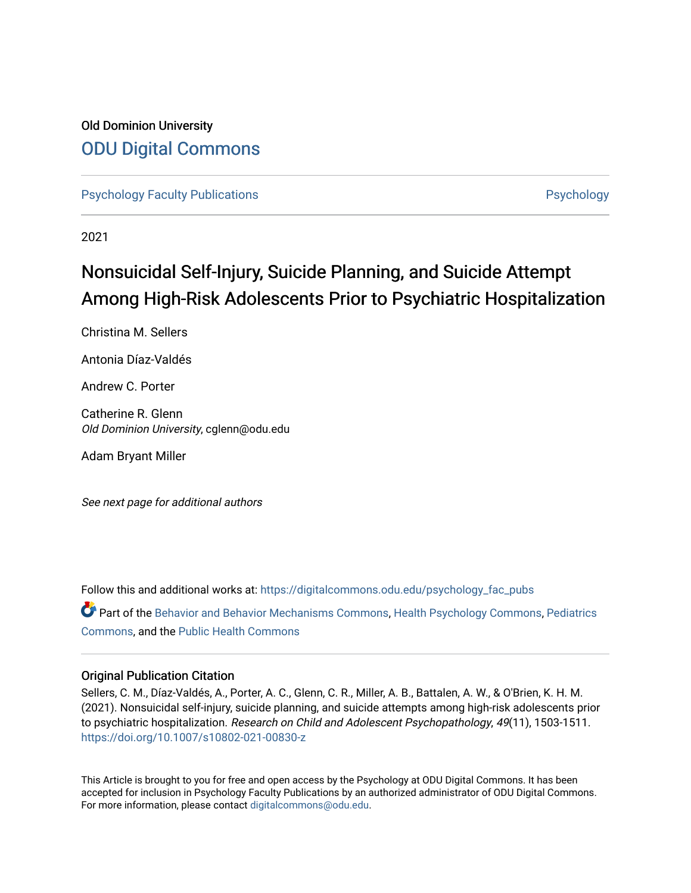# Old Dominion University [ODU Digital Commons](https://digitalcommons.odu.edu/)

[Psychology Faculty Publications](https://digitalcommons.odu.edu/psychology_fac_pubs) **Provides** [Psychology](https://digitalcommons.odu.edu/psychology) **Psychology** 

2021

# Nonsuicidal Self-Injury, Suicide Planning, and Suicide Attempt Among High-Risk Adolescents Prior to Psychiatric Hospitalization

Christina M. Sellers

Antonia Díaz-Valdés

Andrew C. Porter

Catherine R. Glenn Old Dominion University, cglenn@odu.edu

Adam Bryant Miller

See next page for additional authors

Follow this and additional works at: [https://digitalcommons.odu.edu/psychology\\_fac\\_pubs](https://digitalcommons.odu.edu/psychology_fac_pubs?utm_source=digitalcommons.odu.edu%2Fpsychology_fac_pubs%2F130&utm_medium=PDF&utm_campaign=PDFCoverPages)

Part of the [Behavior and Behavior Mechanisms Commons,](http://network.bepress.com/hgg/discipline/963?utm_source=digitalcommons.odu.edu%2Fpsychology_fac_pubs%2F130&utm_medium=PDF&utm_campaign=PDFCoverPages) [Health Psychology Commons](http://network.bepress.com/hgg/discipline/411?utm_source=digitalcommons.odu.edu%2Fpsychology_fac_pubs%2F130&utm_medium=PDF&utm_campaign=PDFCoverPages), [Pediatrics](http://network.bepress.com/hgg/discipline/700?utm_source=digitalcommons.odu.edu%2Fpsychology_fac_pubs%2F130&utm_medium=PDF&utm_campaign=PDFCoverPages) [Commons](http://network.bepress.com/hgg/discipline/700?utm_source=digitalcommons.odu.edu%2Fpsychology_fac_pubs%2F130&utm_medium=PDF&utm_campaign=PDFCoverPages), and the [Public Health Commons](http://network.bepress.com/hgg/discipline/738?utm_source=digitalcommons.odu.edu%2Fpsychology_fac_pubs%2F130&utm_medium=PDF&utm_campaign=PDFCoverPages) 

# Original Publication Citation

Sellers, C. M., Díaz-Valdés, A., Porter, A. C., Glenn, C. R., Miller, A. B., Battalen, A. W., & O'Brien, K. H. M. (2021). Nonsuicidal self-injury, suicide planning, and suicide attempts among high-risk adolescents prior to psychiatric hospitalization. Research on Child and Adolescent Psychopathology, 49(11), 1503-1511. <https://doi.org/10.1007/s10802-021-00830-z>

This Article is brought to you for free and open access by the Psychology at ODU Digital Commons. It has been accepted for inclusion in Psychology Faculty Publications by an authorized administrator of ODU Digital Commons. For more information, please contact [digitalcommons@odu.edu](mailto:digitalcommons@odu.edu).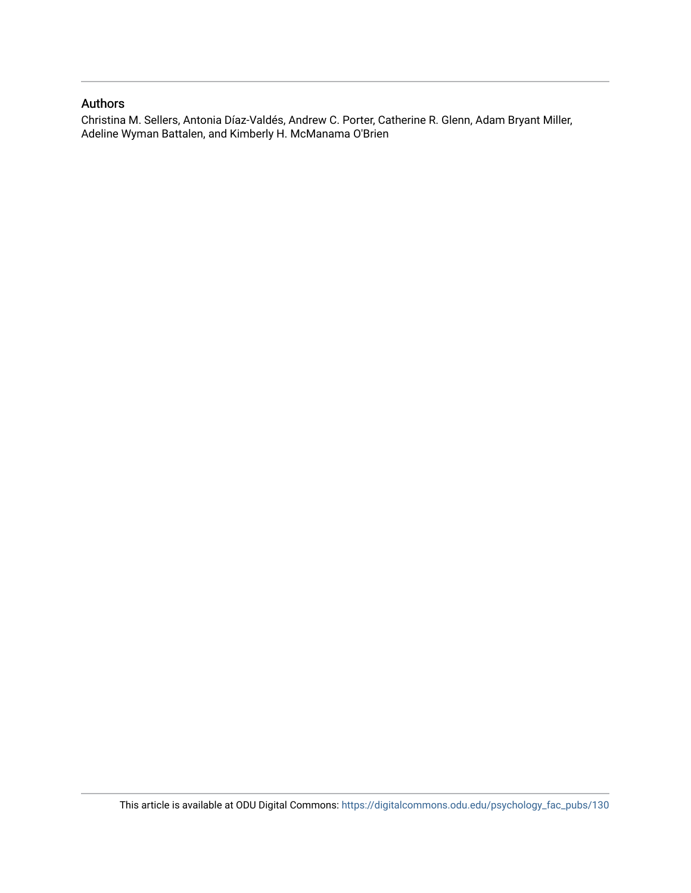# Authors

Christina M. Sellers, Antonia Díaz-Valdés, Andrew C. Porter, Catherine R. Glenn, Adam Bryant Miller, Adeline Wyman Battalen, and Kimberly H. McManama O'Brien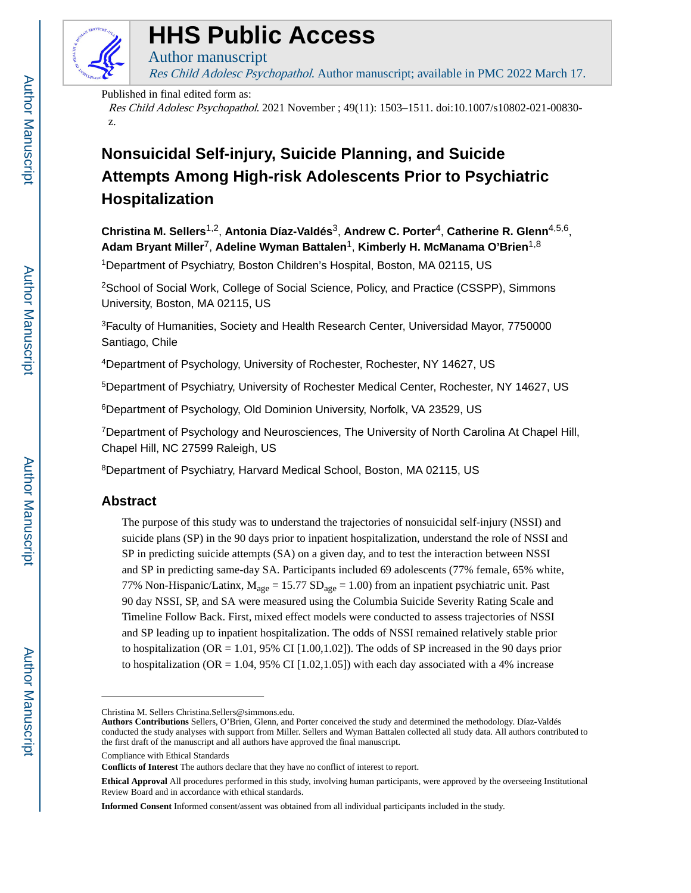

# **HHS Public Access**

Res Child Adolesc Psychopathol. Author manuscript; available in PMC 2022 March 17. **HHS Public Access**<br>Author manuscript<br>*Res Child Adolesc Psychopathol*. Author manuscript; available in PMC 2022 March 17.<br>Published in final edited form as:

Published in final edited form as:

Author manuscript

Res Child Adolesc Psychopathol. 2021 November ; 49(11): 1503–1511. doi:10.1007/s10802-021-00830 z.

# **Nonsuicidal Self-injury, Suicide Planning, and Suicide Attempts Among High-risk Adolescents Prior to Psychiatric Hospitalization**

**Christina M. Sellers**1,2, **Antonia Díaz-Valdés**3, **Andrew C. Porter**4, **Catherine R. Glenn**4,5,6, **Adam Bryant Miller**7, **Adeline Wyman Battalen**1, **Kimberly H. McManama O'Brien**1,8

<sup>1</sup>Department of Psychiatry, Boston Children's Hospital, Boston, MA 02115, US

<sup>2</sup>School of Social Work, College of Social Science, Policy, and Practice (CSSPP), Simmons University, Boston, MA 02115, US

<sup>3</sup>Faculty of Humanities, Society and Health Research Center, Universidad Mayor, 7750000 Santiago, Chile

<sup>4</sup>Department of Psychology, University of Rochester, Rochester, NY 14627, US

<sup>5</sup>Department of Psychiatry, University of Rochester Medical Center, Rochester, NY 14627, US

<sup>6</sup>Department of Psychology, Old Dominion University, Norfolk, VA 23529, US

<sup>7</sup>Department of Psychology and Neurosciences, The University of North Carolina At Chapel Hill, Chapel Hill, NC 27599 Raleigh, US

<sup>8</sup>Department of Psychiatry, Harvard Medical School, Boston, MA 02115, US

# **Abstract**

The purpose of this study was to understand the trajectories of nonsuicidal self-injury (NSSI) and suicide plans (SP) in the 90 days prior to inpatient hospitalization, understand the role of NSSI and SP in predicting suicide attempts (SA) on a given day, and to test the interaction between NSSI and SP in predicting same-day SA. Participants included 69 adolescents (77% female, 65% white, 77% Non-Hispanic/Latinx,  $M_{\text{age}} = 15.77 \text{ SD}_{\text{age}} = 1.00$  from an inpatient psychiatric unit. Past 90 day NSSI, SP, and SA were measured using the Columbia Suicide Severity Rating Scale and Timeline Follow Back. First, mixed effect models were conducted to assess trajectories of NSSI and SP leading up to inpatient hospitalization. The odds of NSSI remained relatively stable prior to hospitalization (OR = 1.01, 95% CI [1.00,1.02]). The odds of SP increased in the 90 days prior to hospitalization (OR = 1.04, 95% CI [1.02,1.05]) with each day associated with a 4% increase

Compliance with Ethical Standards

Christina M. Sellers Christina.Sellers@simmons.edu.

**Authors Contributions** Sellers, O'Brien, Glenn, and Porter conceived the study and determined the methodology. Díaz-Valdés conducted the study analyses with support from Miller. Sellers and Wyman Battalen collected all study data. All authors contributed to the first draft of the manuscript and all authors have approved the final manuscript.

**Conflicts of Interest** The authors declare that they have no conflict of interest to report.

**Ethical Approval** All procedures performed in this study, involving human participants, were approved by the overseeing Institutional Review Board and in accordance with ethical standards.

**Informed Consent** Informed consent/assent was obtained from all individual participants included in the study.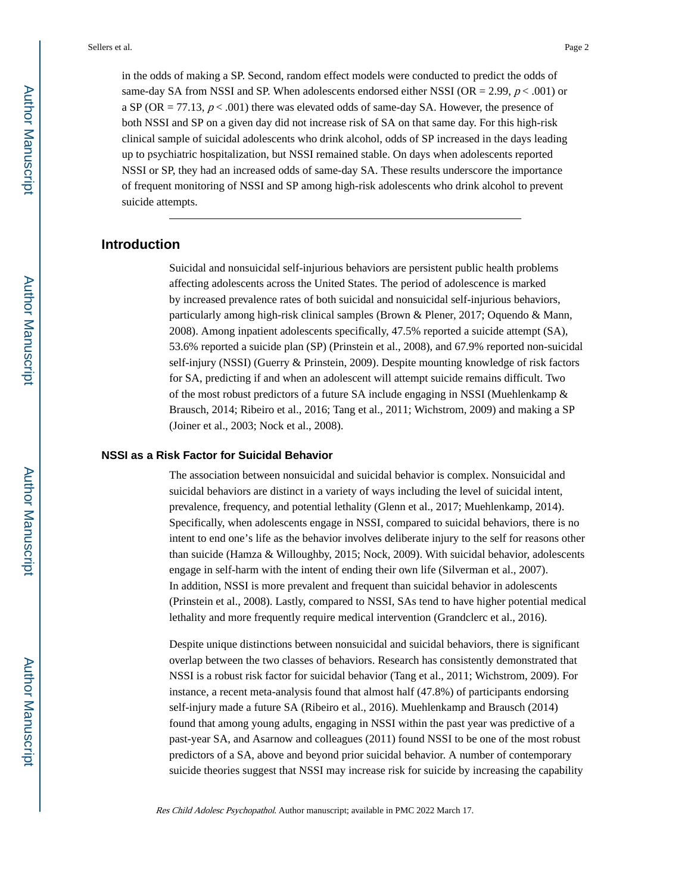in the odds of making a SP. Second, random effect models were conducted to predict the odds of same-day SA from NSSI and SP. When adolescents endorsed either NSSI (OR = 2.99,  $p < .001$ ) or a SP (OR  $= 77.13$ ,  $p < .001$ ) there was elevated odds of same-day SA. However, the presence of both NSSI and SP on a given day did not increase risk of SA on that same day. For this high-risk clinical sample of suicidal adolescents who drink alcohol, odds of SP increased in the days leading up to psychiatric hospitalization, but NSSI remained stable. On days when adolescents reported NSSI or SP, they had an increased odds of same-day SA. These results underscore the importance of frequent monitoring of NSSI and SP among high-risk adolescents who drink alcohol to prevent suicide attempts.

# **Introduction**

Suicidal and nonsuicidal self-injurious behaviors are persistent public health problems affecting adolescents across the United States. The period of adolescence is marked by increased prevalence rates of both suicidal and nonsuicidal self-injurious behaviors, particularly among high-risk clinical samples (Brown & Plener, 2017; Oquendo & Mann, 2008). Among inpatient adolescents specifically, 47.5% reported a suicide attempt (SA), 53.6% reported a suicide plan (SP) (Prinstein et al., 2008), and 67.9% reported non-suicidal self-injury (NSSI) (Guerry & Prinstein, 2009). Despite mounting knowledge of risk factors for SA, predicting if and when an adolescent will attempt suicide remains difficult. Two of the most robust predictors of a future SA include engaging in NSSI (Muehlenkamp  $\&$ Brausch, 2014; Ribeiro et al., 2016; Tang et al., 2011; Wichstrom, 2009) and making a SP (Joiner et al., 2003; Nock et al., 2008).

#### **NSSI as a Risk Factor for Suicidal Behavior**

The association between nonsuicidal and suicidal behavior is complex. Nonsuicidal and suicidal behaviors are distinct in a variety of ways including the level of suicidal intent, prevalence, frequency, and potential lethality (Glenn et al., 2017; Muehlenkamp, 2014). Specifically, when adolescents engage in NSSI, compared to suicidal behaviors, there is no intent to end one's life as the behavior involves deliberate injury to the self for reasons other than suicide (Hamza & Willoughby, 2015; Nock, 2009). With suicidal behavior, adolescents engage in self-harm with the intent of ending their own life (Silverman et al., 2007). In addition, NSSI is more prevalent and frequent than suicidal behavior in adolescents (Prinstein et al., 2008). Lastly, compared to NSSI, SAs tend to have higher potential medical lethality and more frequently require medical intervention (Grandclerc et al., 2016).

Despite unique distinctions between nonsuicidal and suicidal behaviors, there is significant overlap between the two classes of behaviors. Research has consistently demonstrated that NSSI is a robust risk factor for suicidal behavior (Tang et al., 2011; Wichstrom, 2009). For instance, a recent meta-analysis found that almost half (47.8%) of participants endorsing self-injury made a future SA (Ribeiro et al., 2016). Muehlenkamp and Brausch (2014) found that among young adults, engaging in NSSI within the past year was predictive of a past-year SA, and Asarnow and colleagues (2011) found NSSI to be one of the most robust predictors of a SA, above and beyond prior suicidal behavior. A number of contemporary suicide theories suggest that NSSI may increase risk for suicide by increasing the capability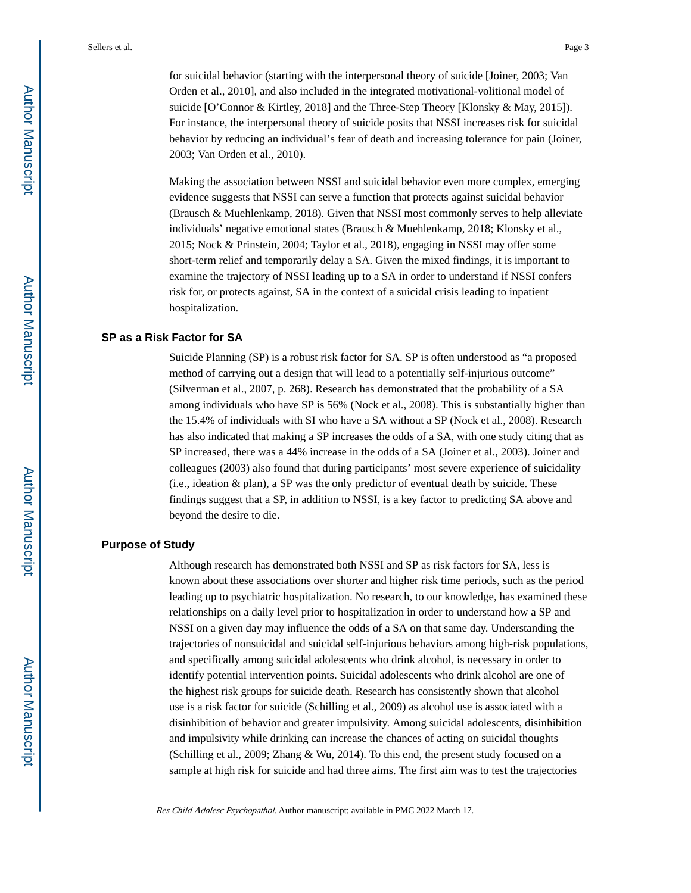for suicidal behavior (starting with the interpersonal theory of suicide [Joiner, 2003; Van Orden et al., 2010], and also included in the integrated motivational-volitional model of suicide [O'Connor & Kirtley, 2018] and the Three-Step Theory [Klonsky & May, 2015]). For instance, the interpersonal theory of suicide posits that NSSI increases risk for suicidal behavior by reducing an individual's fear of death and increasing tolerance for pain (Joiner, 2003; Van Orden et al., 2010).

Making the association between NSSI and suicidal behavior even more complex, emerging evidence suggests that NSSI can serve a function that protects against suicidal behavior (Brausch & Muehlenkamp, 2018). Given that NSSI most commonly serves to help alleviate individuals' negative emotional states (Brausch & Muehlenkamp, 2018; Klonsky et al., 2015; Nock & Prinstein, 2004; Taylor et al., 2018), engaging in NSSI may offer some short-term relief and temporarily delay a SA. Given the mixed findings, it is important to examine the trajectory of NSSI leading up to a SA in order to understand if NSSI confers risk for, or protects against, SA in the context of a suicidal crisis leading to inpatient hospitalization.

#### **SP as a Risk Factor for SA**

Suicide Planning (SP) is a robust risk factor for SA. SP is often understood as "a proposed method of carrying out a design that will lead to a potentially self-injurious outcome" (Silverman et al., 2007, p. 268). Research has demonstrated that the probability of a SA among individuals who have SP is 56% (Nock et al., 2008). This is substantially higher than the 15.4% of individuals with SI who have a SA without a SP (Nock et al., 2008). Research has also indicated that making a SP increases the odds of a SA, with one study citing that as SP increased, there was a 44% increase in the odds of a SA (Joiner et al., 2003). Joiner and colleagues (2003) also found that during participants' most severe experience of suicidality (i.e., ideation & plan), a SP was the only predictor of eventual death by suicide. These findings suggest that a SP, in addition to NSSI, is a key factor to predicting SA above and beyond the desire to die.

### **Purpose of Study**

Although research has demonstrated both NSSI and SP as risk factors for SA, less is known about these associations over shorter and higher risk time periods, such as the period leading up to psychiatric hospitalization. No research, to our knowledge, has examined these relationships on a daily level prior to hospitalization in order to understand how a SP and NSSI on a given day may influence the odds of a SA on that same day. Understanding the trajectories of nonsuicidal and suicidal self-injurious behaviors among high-risk populations, and specifically among suicidal adolescents who drink alcohol, is necessary in order to identify potential intervention points. Suicidal adolescents who drink alcohol are one of the highest risk groups for suicide death. Research has consistently shown that alcohol use is a risk factor for suicide (Schilling et al., 2009) as alcohol use is associated with a disinhibition of behavior and greater impulsivity. Among suicidal adolescents, disinhibition and impulsivity while drinking can increase the chances of acting on suicidal thoughts (Schilling et al., 2009; Zhang & Wu, 2014). To this end, the present study focused on a sample at high risk for suicide and had three aims. The first aim was to test the trajectories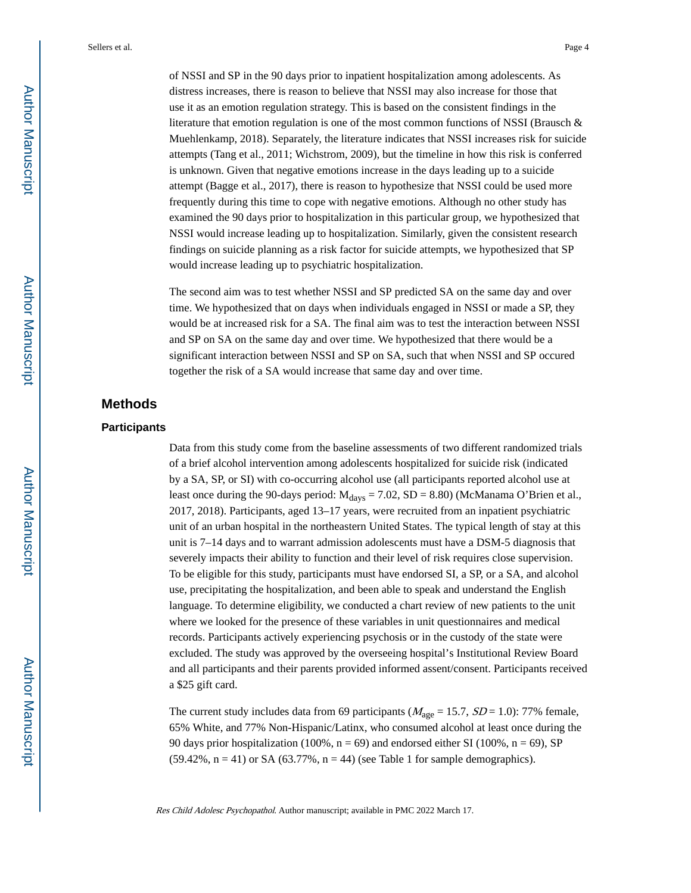of NSSI and SP in the 90 days prior to inpatient hospitalization among adolescents. As distress increases, there is reason to believe that NSSI may also increase for those that use it as an emotion regulation strategy. This is based on the consistent findings in the literature that emotion regulation is one of the most common functions of NSSI (Brausch & Muehlenkamp, 2018). Separately, the literature indicates that NSSI increases risk for suicide attempts (Tang et al., 2011; Wichstrom, 2009), but the timeline in how this risk is conferred is unknown. Given that negative emotions increase in the days leading up to a suicide attempt (Bagge et al., 2017), there is reason to hypothesize that NSSI could be used more frequently during this time to cope with negative emotions. Although no other study has examined the 90 days prior to hospitalization in this particular group, we hypothesized that NSSI would increase leading up to hospitalization. Similarly, given the consistent research findings on suicide planning as a risk factor for suicide attempts, we hypothesized that SP would increase leading up to psychiatric hospitalization.

The second aim was to test whether NSSI and SP predicted SA on the same day and over time. We hypothesized that on days when individuals engaged in NSSI or made a SP, they would be at increased risk for a SA. The final aim was to test the interaction between NSSI and SP on SA on the same day and over time. We hypothesized that there would be a significant interaction between NSSI and SP on SA, such that when NSSI and SP occured together the risk of a SA would increase that same day and over time.

# **Methods**

### **Participants**

Data from this study come from the baseline assessments of two different randomized trials of a brief alcohol intervention among adolescents hospitalized for suicide risk (indicated by a SA, SP, or SI) with co-occurring alcohol use (all participants reported alcohol use at least once during the 90-days period:  $M_{days} = 7.02$ , SD = 8.80) (McManama O'Brien et al., 2017, 2018). Participants, aged 13–17 years, were recruited from an inpatient psychiatric unit of an urban hospital in the northeastern United States. The typical length of stay at this unit is 7–14 days and to warrant admission adolescents must have a DSM-5 diagnosis that severely impacts their ability to function and their level of risk requires close supervision. To be eligible for this study, participants must have endorsed SI, a SP, or a SA, and alcohol use, precipitating the hospitalization, and been able to speak and understand the English language. To determine eligibility, we conducted a chart review of new patients to the unit where we looked for the presence of these variables in unit questionnaires and medical records. Participants actively experiencing psychosis or in the custody of the state were excluded. The study was approved by the overseeing hospital's Institutional Review Board and all participants and their parents provided informed assent/consent. Participants received a \$25 gift card.

The current study includes data from 69 participants ( $M_{\text{age}} = 15.7$ ,  $SD = 1.0$ ): 77% female, 65% White, and 77% Non-Hispanic/Latinx, who consumed alcohol at least once during the 90 days prior hospitalization (100%,  $n = 69$ ) and endorsed either SI (100%,  $n = 69$ ), SP  $(59.42\%, n = 41)$  or SA  $(63.77\%, n = 44)$  (see Table 1 for sample demographics).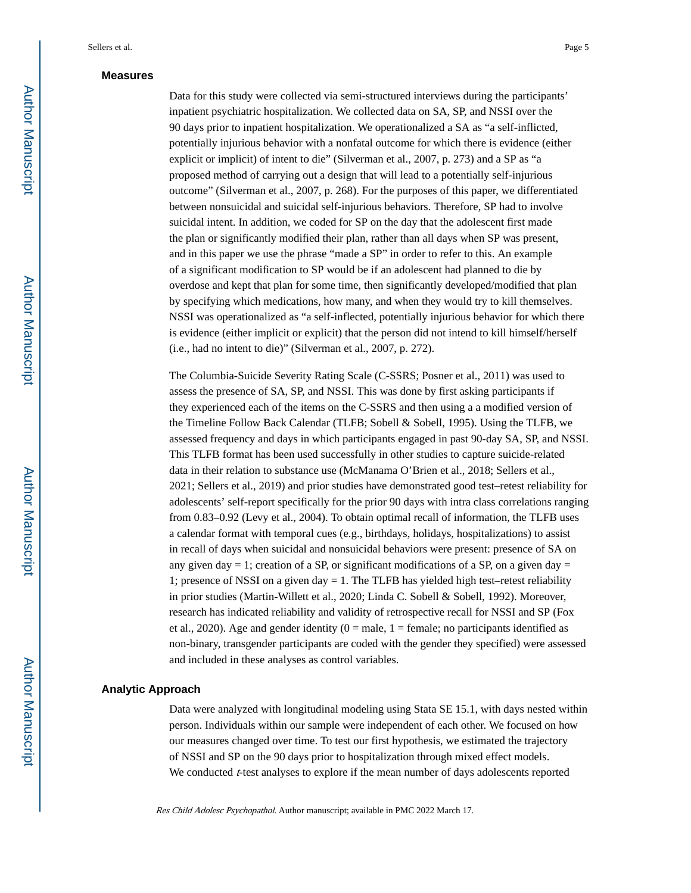#### **Measures**

Data for this study were collected via semi-structured interviews during the participants' inpatient psychiatric hospitalization. We collected data on SA, SP, and NSSI over the 90 days prior to inpatient hospitalization. We operationalized a SA as "a self-inflicted, potentially injurious behavior with a nonfatal outcome for which there is evidence (either explicit or implicit) of intent to die" (Silverman et al., 2007, p. 273) and a SP as "a proposed method of carrying out a design that will lead to a potentially self-injurious outcome" (Silverman et al., 2007, p. 268). For the purposes of this paper, we differentiated between nonsuicidal and suicidal self-injurious behaviors. Therefore, SP had to involve suicidal intent. In addition, we coded for SP on the day that the adolescent first made the plan or significantly modified their plan, rather than all days when SP was present, and in this paper we use the phrase "made a SP" in order to refer to this. An example of a significant modification to SP would be if an adolescent had planned to die by overdose and kept that plan for some time, then significantly developed/modified that plan by specifying which medications, how many, and when they would try to kill themselves. NSSI was operationalized as "a self-inflected, potentially injurious behavior for which there is evidence (either implicit or explicit) that the person did not intend to kill himself/herself (i.e., had no intent to die)" (Silverman et al., 2007, p. 272).

The Columbia-Suicide Severity Rating Scale (C-SSRS; Posner et al., 2011) was used to assess the presence of SA, SP, and NSSI. This was done by first asking participants if they experienced each of the items on the C-SSRS and then using a a modified version of the Timeline Follow Back Calendar (TLFB; Sobell & Sobell, 1995). Using the TLFB, we assessed frequency and days in which participants engaged in past 90-day SA, SP, and NSSI. This TLFB format has been used successfully in other studies to capture suicide-related data in their relation to substance use (McManama O'Brien et al., 2018; Sellers et al., 2021; Sellers et al., 2019) and prior studies have demonstrated good test–retest reliability for adolescents' self-report specifically for the prior 90 days with intra class correlations ranging from 0.83–0.92 (Levy et al., 2004). To obtain optimal recall of information, the TLFB uses a calendar format with temporal cues (e.g., birthdays, holidays, hospitalizations) to assist in recall of days when suicidal and nonsuicidal behaviors were present: presence of SA on any given day  $= 1$ ; creation of a SP, or significant modifications of a SP, on a given day  $=$ 1; presence of NSSI on a given day = 1. The TLFB has yielded high test–retest reliability in prior studies (Martin-Willett et al., 2020; Linda C. Sobell & Sobell, 1992). Moreover, research has indicated reliability and validity of retrospective recall for NSSI and SP (Fox et al., 2020). Age and gender identity  $(0 = male, 1 = female; no participants identified as$ non-binary, transgender participants are coded with the gender they specified) were assessed and included in these analyses as control variables.

#### **Analytic Approach**

Data were analyzed with longitudinal modeling using Stata SE 15.1, with days nested within person. Individuals within our sample were independent of each other. We focused on how our measures changed over time. To test our first hypothesis, we estimated the trajectory of NSSI and SP on the 90 days prior to hospitalization through mixed effect models. We conducted  $t$ -test analyses to explore if the mean number of days adolescents reported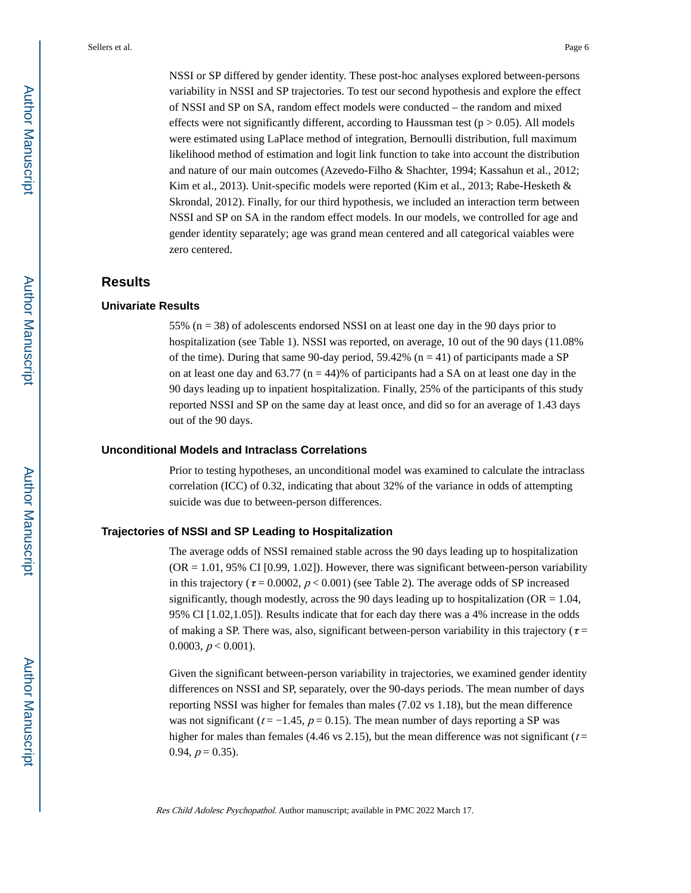NSSI or SP differed by gender identity. These post-hoc analyses explored between-persons variability in NSSI and SP trajectories. To test our second hypothesis and explore the effect of NSSI and SP on SA, random effect models were conducted – the random and mixed effects were not significantly different, according to Haussman test ( $p > 0.05$ ). All models were estimated using LaPlace method of integration, Bernoulli distribution, full maximum likelihood method of estimation and logit link function to take into account the distribution and nature of our main outcomes (Azevedo-Filho & Shachter, 1994; Kassahun et al., 2012; Kim et al., 2013). Unit-specific models were reported (Kim et al., 2013; Rabe-Hesketh & Skrondal, 2012). Finally, for our third hypothesis, we included an interaction term between NSSI and SP on SA in the random effect models. In our models, we controlled for age and gender identity separately; age was grand mean centered and all categorical vaiables were zero centered.

# **Results**

### **Univariate Results**

55% ( $n = 38$ ) of adolescents endorsed NSSI on at least one day in the 90 days prior to hospitalization (see Table 1). NSSI was reported, on average, 10 out of the 90 days (11.08% of the time). During that same 90-day period,  $59.42\%$  (n = 41) of participants made a SP on at least one day and  $63.77$  (n = 44)% of participants had a SA on at least one day in the 90 days leading up to inpatient hospitalization. Finally, 25% of the participants of this study reported NSSI and SP on the same day at least once, and did so for an average of 1.43 days out of the 90 days.

#### **Unconditional Models and Intraclass Correlations**

Prior to testing hypotheses, an unconditional model was examined to calculate the intraclass correlation (ICC) of 0.32, indicating that about 32% of the variance in odds of attempting suicide was due to between-person differences.

#### **Trajectories of NSSI and SP Leading to Hospitalization**

The average odds of NSSI remained stable across the 90 days leading up to hospitalization  $(OR = 1.01, 95\% \text{ CI } [0.99, 1.02])$ . However, there was significant between-person variability in this trajectory ( $\tau$  = 0.0002,  $p$  < 0.001) (see Table 2). The average odds of SP increased significantly, though modestly, across the 90 days leading up to hospitalization ( $OR = 1.04$ , 95% CI [1.02,1.05]). Results indicate that for each day there was a 4% increase in the odds of making a SP. There was, also, significant between-person variability in this trajectory ( $\tau$  = 0.0003,  $p < 0.001$ ).

Given the significant between-person variability in trajectories, we examined gender identity differences on NSSI and SP, separately, over the 90-days periods. The mean number of days reporting NSSI was higher for females than males (7.02 vs 1.18), but the mean difference was not significant ( $t = -1.45$ ,  $p = 0.15$ ). The mean number of days reporting a SP was higher for males than females (4.46 vs 2.15), but the mean difference was not significant ( $t =$ 0.94,  $p = 0.35$ ).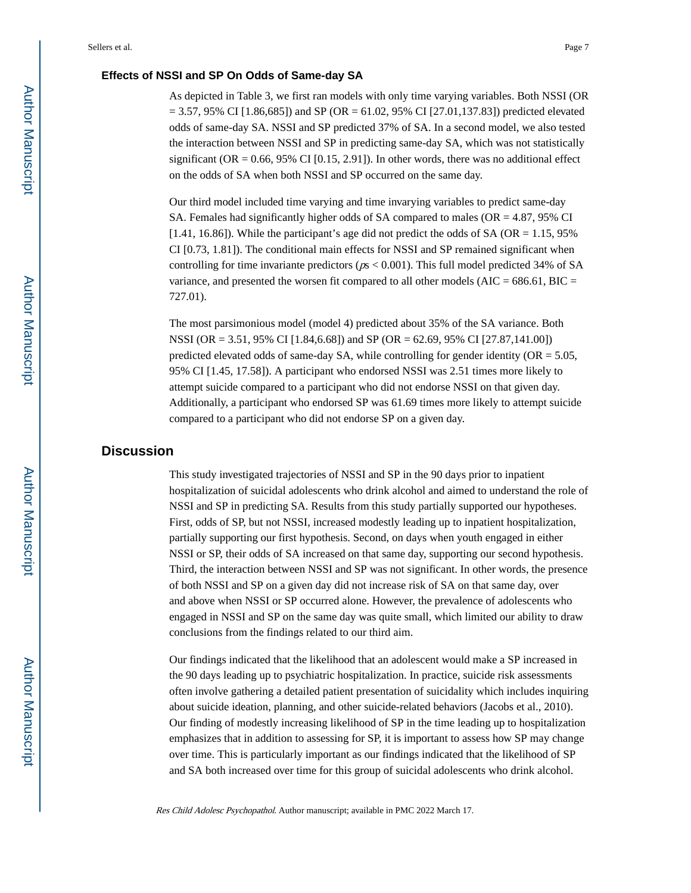### **Effects of NSSI and SP On Odds of Same-day SA**

As depicted in Table 3, we first ran models with only time varying variables. Both NSSI (OR  $= 3.57, 95\%$  CI [1.86,685]) and SP (OR = 61.02, 95% CI [27.01,137.83]) predicted elevated odds of same-day SA. NSSI and SP predicted 37% of SA. In a second model, we also tested the interaction between NSSI and SP in predicting same-day SA, which was not statistically significant (OR =  $0.66$ ,  $95\%$  CI [0.15, 2.91]). In other words, there was no additional effect on the odds of SA when both NSSI and SP occurred on the same day.

Our third model included time varying and time invarying variables to predict same-day SA. Females had significantly higher odds of SA compared to males ( $OR = 4.87$ ,  $95\%$  CI [1.41, 16.86]). While the participant's age did not predict the odds of SA (OR  $= 1.15$ , 95% CI [0.73, 1.81]). The conditional main effects for NSSI and SP remained significant when controlling for time invariante predictors ( $p_s < 0.001$ ). This full model predicted 34% of SA variance, and presented the worsen fit compared to all other models (AIC =  $686.61$ , BIC = 727.01).

The most parsimonious model (model 4) predicted about 35% of the SA variance. Both NSSI (OR = 3.51, 95% CI [1.84,6.68]) and SP (OR = 62.69, 95% CI [27.87,141.00]) predicted elevated odds of same-day SA, while controlling for gender identity ( $OR = 5.05$ , 95% CI [1.45, 17.58]). A participant who endorsed NSSI was 2.51 times more likely to attempt suicide compared to a participant who did not endorse NSSI on that given day. Additionally, a participant who endorsed SP was 61.69 times more likely to attempt suicide compared to a participant who did not endorse SP on a given day.

# **Discussion**

This study investigated trajectories of NSSI and SP in the 90 days prior to inpatient hospitalization of suicidal adolescents who drink alcohol and aimed to understand the role of NSSI and SP in predicting SA. Results from this study partially supported our hypotheses. First, odds of SP, but not NSSI, increased modestly leading up to inpatient hospitalization, partially supporting our first hypothesis. Second, on days when youth engaged in either NSSI or SP, their odds of SA increased on that same day, supporting our second hypothesis. Third, the interaction between NSSI and SP was not significant. In other words, the presence of both NSSI and SP on a given day did not increase risk of SA on that same day, over and above when NSSI or SP occurred alone. However, the prevalence of adolescents who engaged in NSSI and SP on the same day was quite small, which limited our ability to draw conclusions from the findings related to our third aim.

Our findings indicated that the likelihood that an adolescent would make a SP increased in the 90 days leading up to psychiatric hospitalization. In practice, suicide risk assessments often involve gathering a detailed patient presentation of suicidality which includes inquiring about suicide ideation, planning, and other suicide-related behaviors (Jacobs et al., 2010). Our finding of modestly increasing likelihood of SP in the time leading up to hospitalization emphasizes that in addition to assessing for SP, it is important to assess how SP may change over time. This is particularly important as our findings indicated that the likelihood of SP and SA both increased over time for this group of suicidal adolescents who drink alcohol.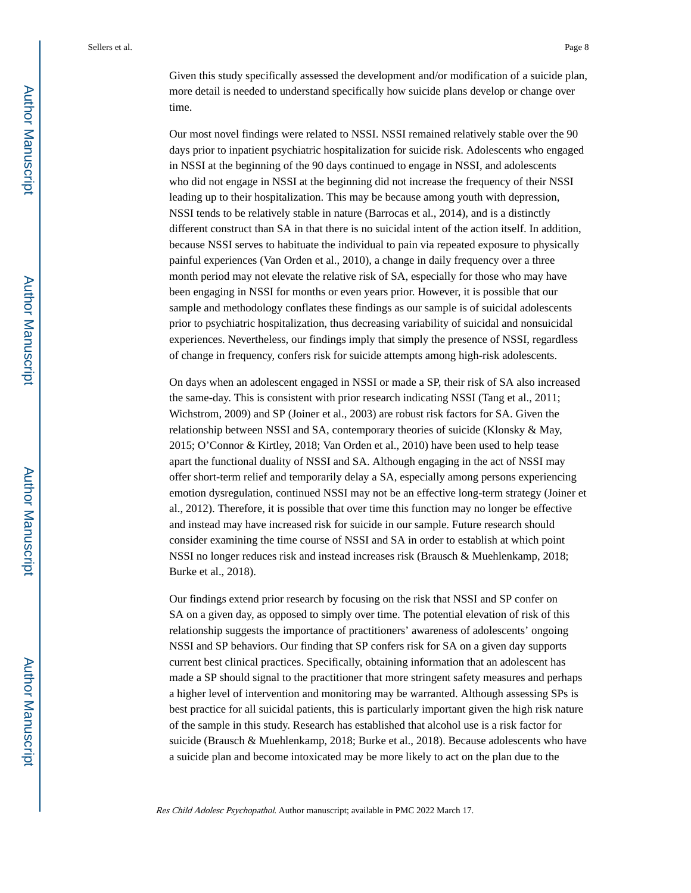Given this study specifically assessed the development and/or modification of a suicide plan, more detail is needed to understand specifically how suicide plans develop or change over time.

Our most novel findings were related to NSSI. NSSI remained relatively stable over the 90 days prior to inpatient psychiatric hospitalization for suicide risk. Adolescents who engaged in NSSI at the beginning of the 90 days continued to engage in NSSI, and adolescents who did not engage in NSSI at the beginning did not increase the frequency of their NSSI leading up to their hospitalization. This may be because among youth with depression, NSSI tends to be relatively stable in nature (Barrocas et al., 2014), and is a distinctly different construct than SA in that there is no suicidal intent of the action itself. In addition, because NSSI serves to habituate the individual to pain via repeated exposure to physically painful experiences (Van Orden et al., 2010), a change in daily frequency over a three month period may not elevate the relative risk of SA, especially for those who may have been engaging in NSSI for months or even years prior. However, it is possible that our sample and methodology conflates these findings as our sample is of suicidal adolescents prior to psychiatric hospitalization, thus decreasing variability of suicidal and nonsuicidal experiences. Nevertheless, our findings imply that simply the presence of NSSI, regardless of change in frequency, confers risk for suicide attempts among high-risk adolescents.

On days when an adolescent engaged in NSSI or made a SP, their risk of SA also increased the same-day. This is consistent with prior research indicating NSSI (Tang et al., 2011; Wichstrom, 2009) and SP (Joiner et al., 2003) are robust risk factors for SA. Given the relationship between NSSI and SA, contemporary theories of suicide (Klonsky & May, 2015; O'Connor & Kirtley, 2018; Van Orden et al., 2010) have been used to help tease apart the functional duality of NSSI and SA. Although engaging in the act of NSSI may offer short-term relief and temporarily delay a SA, especially among persons experiencing emotion dysregulation, continued NSSI may not be an effective long-term strategy (Joiner et al., 2012). Therefore, it is possible that over time this function may no longer be effective and instead may have increased risk for suicide in our sample. Future research should consider examining the time course of NSSI and SA in order to establish at which point NSSI no longer reduces risk and instead increases risk (Brausch & Muehlenkamp, 2018; Burke et al., 2018).

Our findings extend prior research by focusing on the risk that NSSI and SP confer on SA on a given day, as opposed to simply over time. The potential elevation of risk of this relationship suggests the importance of practitioners' awareness of adolescents' ongoing NSSI and SP behaviors. Our finding that SP confers risk for SA on a given day supports current best clinical practices. Specifically, obtaining information that an adolescent has made a SP should signal to the practitioner that more stringent safety measures and perhaps a higher level of intervention and monitoring may be warranted. Although assessing SPs is best practice for all suicidal patients, this is particularly important given the high risk nature of the sample in this study. Research has established that alcohol use is a risk factor for suicide (Brausch & Muehlenkamp, 2018; Burke et al., 2018). Because adolescents who have a suicide plan and become intoxicated may be more likely to act on the plan due to the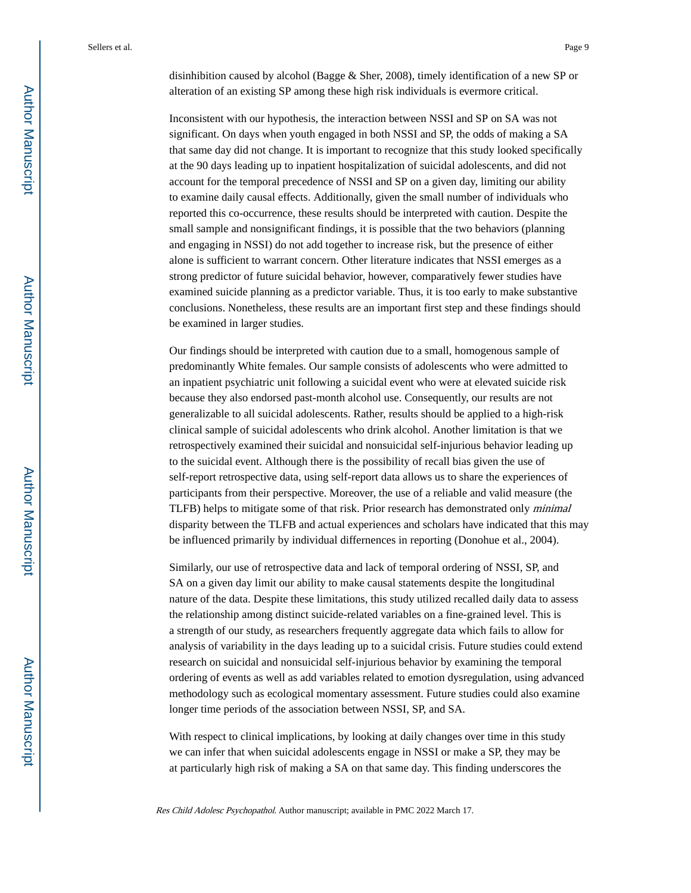disinhibition caused by alcohol (Bagge & Sher, 2008), timely identification of a new SP or alteration of an existing SP among these high risk individuals is evermore critical.

Inconsistent with our hypothesis, the interaction between NSSI and SP on SA was not significant. On days when youth engaged in both NSSI and SP, the odds of making a SA that same day did not change. It is important to recognize that this study looked specifically at the 90 days leading up to inpatient hospitalization of suicidal adolescents, and did not account for the temporal precedence of NSSI and SP on a given day, limiting our ability to examine daily causal effects. Additionally, given the small number of individuals who reported this co-occurrence, these results should be interpreted with caution. Despite the small sample and nonsignificant findings, it is possible that the two behaviors (planning and engaging in NSSI) do not add together to increase risk, but the presence of either alone is sufficient to warrant concern. Other literature indicates that NSSI emerges as a strong predictor of future suicidal behavior, however, comparatively fewer studies have examined suicide planning as a predictor variable. Thus, it is too early to make substantive conclusions. Nonetheless, these results are an important first step and these findings should be examined in larger studies.

Our findings should be interpreted with caution due to a small, homogenous sample of predominantly White females. Our sample consists of adolescents who were admitted to an inpatient psychiatric unit following a suicidal event who were at elevated suicide risk because they also endorsed past-month alcohol use. Consequently, our results are not generalizable to all suicidal adolescents. Rather, results should be applied to a high-risk clinical sample of suicidal adolescents who drink alcohol. Another limitation is that we retrospectively examined their suicidal and nonsuicidal self-injurious behavior leading up to the suicidal event. Although there is the possibility of recall bias given the use of self-report retrospective data, using self-report data allows us to share the experiences of participants from their perspective. Moreover, the use of a reliable and valid measure (the TLFB) helps to mitigate some of that risk. Prior research has demonstrated only minimal disparity between the TLFB and actual experiences and scholars have indicated that this may be influenced primarily by individual differnences in reporting (Donohue et al., 2004).

Similarly, our use of retrospective data and lack of temporal ordering of NSSI, SP, and SA on a given day limit our ability to make causal statements despite the longitudinal nature of the data. Despite these limitations, this study utilized recalled daily data to assess the relationship among distinct suicide-related variables on a fine-grained level. This is a strength of our study, as researchers frequently aggregate data which fails to allow for analysis of variability in the days leading up to a suicidal crisis. Future studies could extend research on suicidal and nonsuicidal self-injurious behavior by examining the temporal ordering of events as well as add variables related to emotion dysregulation, using advanced methodology such as ecological momentary assessment. Future studies could also examine longer time periods of the association between NSSI, SP, and SA.

With respect to clinical implications, by looking at daily changes over time in this study we can infer that when suicidal adolescents engage in NSSI or make a SP, they may be at particularly high risk of making a SA on that same day. This finding underscores the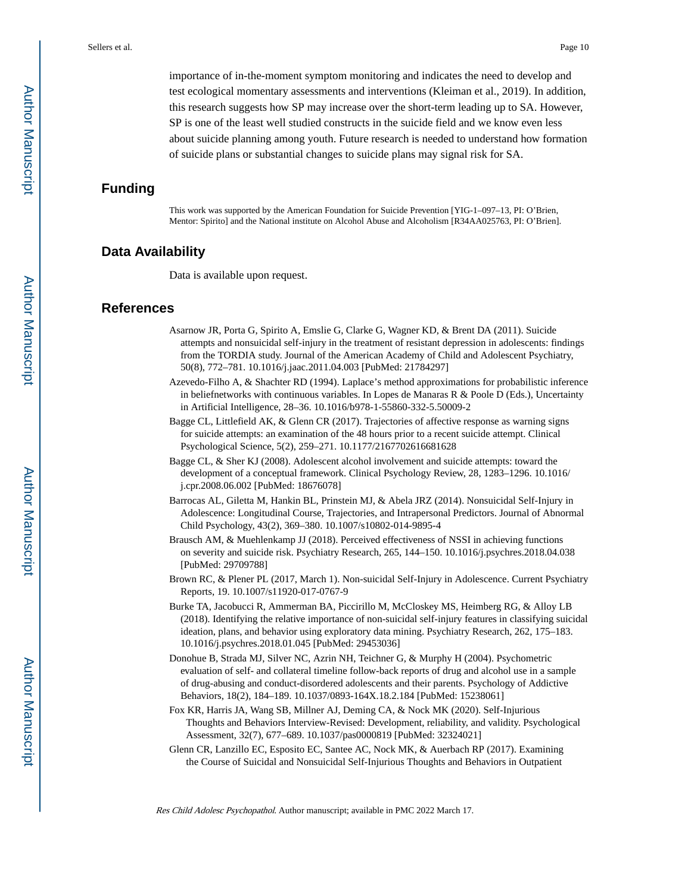importance of in-the-moment symptom monitoring and indicates the need to develop and test ecological momentary assessments and interventions (Kleiman et al., 2019). In addition, this research suggests how SP may increase over the short-term leading up to SA. However, SP is one of the least well studied constructs in the suicide field and we know even less about suicide planning among youth. Future research is needed to understand how formation of suicide plans or substantial changes to suicide plans may signal risk for SA.

# **Funding**

This work was supported by the American Foundation for Suicide Prevention [YIG-1–097–13, PI: O'Brien, Mentor: Spirito] and the National institute on Alcohol Abuse and Alcoholism [R34AA025763, PI: O'Brien].

# **Data Availability**

Data is available upon request.

## **References**

- Asarnow JR, Porta G, Spirito A, Emslie G, Clarke G, Wagner KD, & Brent DA (2011). Suicide attempts and nonsuicidal self-injury in the treatment of resistant depression in adolescents: findings from the TORDIA study. Journal of the American Academy of Child and Adolescent Psychiatry, 50(8), 772–781. 10.1016/j.jaac.2011.04.003 [PubMed: 21784297]
- Azevedo-Filho A, & Shachter RD (1994). Laplace's method approximations for probabilistic inference in beliefnetworks with continuous variables. In Lopes de Manaras R & Poole D (Eds.), Uncertainty in Artificial Intelligence, 28–36. 10.1016/b978-1-55860-332-5.50009-2
- Bagge CL, Littlefield AK, & Glenn CR (2017). Trajectories of affective response as warning signs for suicide attempts: an examination of the 48 hours prior to a recent suicide attempt. Clinical Psychological Science, 5(2), 259–271. 10.1177/2167702616681628
- Bagge CL, & Sher KJ (2008). Adolescent alcohol involvement and suicide attempts: toward the development of a conceptual framework. Clinical Psychology Review, 28, 1283–1296. 10.1016/ j.cpr.2008.06.002 [PubMed: 18676078]
- Barrocas AL, Giletta M, Hankin BL, Prinstein MJ, & Abela JRZ (2014). Nonsuicidal Self-Injury in Adolescence: Longitudinal Course, Trajectories, and Intrapersonal Predictors. Journal of Abnormal Child Psychology, 43(2), 369–380. 10.1007/s10802-014-9895-4
- Brausch AM, & Muehlenkamp JJ (2018). Perceived effectiveness of NSSI in achieving functions on severity and suicide risk. Psychiatry Research, 265, 144–150. 10.1016/j.psychres.2018.04.038 [PubMed: 29709788]
- Brown RC, & Plener PL (2017, March 1). Non-suicidal Self-Injury in Adolescence. Current Psychiatry Reports, 19. 10.1007/s11920-017-0767-9
- Burke TA, Jacobucci R, Ammerman BA, Piccirillo M, McCloskey MS, Heimberg RG, & Alloy LB (2018). Identifying the relative importance of non-suicidal self-injury features in classifying suicidal ideation, plans, and behavior using exploratory data mining. Psychiatry Research, 262, 175–183. 10.1016/j.psychres.2018.01.045 [PubMed: 29453036]
- Donohue B, Strada MJ, Silver NC, Azrin NH, Teichner G, & Murphy H (2004). Psychometric evaluation of self- and collateral timeline follow-back reports of drug and alcohol use in a sample of drug-abusing and conduct-disordered adolescents and their parents. Psychology of Addictive Behaviors, 18(2), 184–189. 10.1037/0893-164X.18.2.184 [PubMed: 15238061]
- Fox KR, Harris JA, Wang SB, Millner AJ, Deming CA, & Nock MK (2020). Self-Injurious Thoughts and Behaviors Interview-Revised: Development, reliability, and validity. Psychological Assessment, 32(7), 677–689. 10.1037/pas0000819 [PubMed: 32324021]
- Glenn CR, Lanzillo EC, Esposito EC, Santee AC, Nock MK, & Auerbach RP (2017). Examining the Course of Suicidal and Nonsuicidal Self-Injurious Thoughts and Behaviors in Outpatient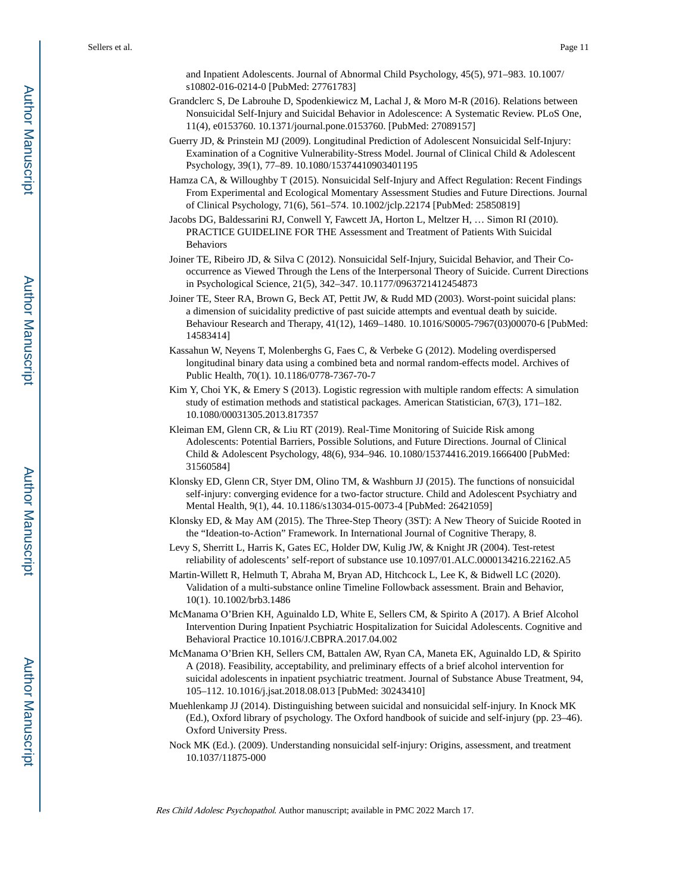and Inpatient Adolescents. Journal of Abnormal Child Psychology, 45(5), 971–983. 10.1007/ s10802-016-0214-0 [PubMed: 27761783]

- Grandclerc S, De Labrouhe D, Spodenkiewicz M, Lachal J, & Moro M-R (2016). Relations between Nonsuicidal Self-Injury and Suicidal Behavior in Adolescence: A Systematic Review. PLoS One, 11(4), e0153760. 10.1371/journal.pone.0153760. [PubMed: 27089157]
- Guerry JD, & Prinstein MJ (2009). Longitudinal Prediction of Adolescent Nonsuicidal Self-Injury: Examination of a Cognitive Vulnerability-Stress Model. Journal of Clinical Child & Adolescent Psychology, 39(1), 77–89. 10.1080/15374410903401195
- Hamza CA, & Willoughby T (2015). Nonsuicidal Self-Injury and Affect Regulation: Recent Findings From Experimental and Ecological Momentary Assessment Studies and Future Directions. Journal of Clinical Psychology, 71(6), 561–574. 10.1002/jclp.22174 [PubMed: 25850819]
- Jacobs DG, Baldessarini RJ, Conwell Y, Fawcett JA, Horton L, Meltzer H, … Simon RI (2010). PRACTICE GUIDELINE FOR THE Assessment and Treatment of Patients With Suicidal Behaviors
- Joiner TE, Ribeiro JD, & Silva C (2012). Nonsuicidal Self-Injury, Suicidal Behavior, and Their Cooccurrence as Viewed Through the Lens of the Interpersonal Theory of Suicide. Current Directions in Psychological Science, 21(5), 342–347. 10.1177/0963721412454873
- Joiner TE, Steer RA, Brown G, Beck AT, Pettit JW, & Rudd MD (2003). Worst-point suicidal plans: a dimension of suicidality predictive of past suicide attempts and eventual death by suicide. Behaviour Research and Therapy, 41(12), 1469–1480. 10.1016/S0005-7967(03)00070-6 [PubMed: 14583414]
- Kassahun W, Neyens T, Molenberghs G, Faes C, & Verbeke G (2012). Modeling overdispersed longitudinal binary data using a combined beta and normal random-effects model. Archives of Public Health, 70(1). 10.1186/0778-7367-70-7
- Kim Y, Choi YK, & Emery S (2013). Logistic regression with multiple random effects: A simulation study of estimation methods and statistical packages. American Statistician, 67(3), 171–182. 10.1080/00031305.2013.817357
- Kleiman EM, Glenn CR, & Liu RT (2019). Real-Time Monitoring of Suicide Risk among Adolescents: Potential Barriers, Possible Solutions, and Future Directions. Journal of Clinical Child & Adolescent Psychology, 48(6), 934–946. 10.1080/15374416.2019.1666400 [PubMed: 31560584]
- Klonsky ED, Glenn CR, Styer DM, Olino TM, & Washburn JJ (2015). The functions of nonsuicidal self-injury: converging evidence for a two-factor structure. Child and Adolescent Psychiatry and Mental Health, 9(1), 44. 10.1186/s13034-015-0073-4 [PubMed: 26421059]
- Klonsky ED, & May AM (2015). The Three-Step Theory (3ST): A New Theory of Suicide Rooted in the "Ideation-to-Action" Framework. In International Journal of Cognitive Therapy, 8.
- Levy S, Sherritt L, Harris K, Gates EC, Holder DW, Kulig JW, & Knight JR (2004). Test-retest reliability of adolescents' self-report of substance use 10.1097/01.ALC.0000134216.22162.A5
- Martin-Willett R, Helmuth T, Abraha M, Bryan AD, Hitchcock L, Lee K, & Bidwell LC (2020). Validation of a multi-substance online Timeline Followback assessment. Brain and Behavior, 10(1). 10.1002/brb3.1486
- McManama O'Brien KH, Aguinaldo LD, White E, Sellers CM, & Spirito A (2017). A Brief Alcohol Intervention During Inpatient Psychiatric Hospitalization for Suicidal Adolescents. Cognitive and Behavioral Practice 10.1016/J.CBPRA.2017.04.002
- McManama O'Brien KH, Sellers CM, Battalen AW, Ryan CA, Maneta EK, Aguinaldo LD, & Spirito A (2018). Feasibility, acceptability, and preliminary effects of a brief alcohol intervention for suicidal adolescents in inpatient psychiatric treatment. Journal of Substance Abuse Treatment, 94, 105–112. 10.1016/j.jsat.2018.08.013 [PubMed: 30243410]
- Muehlenkamp JJ (2014). Distinguishing between suicidal and nonsuicidal self-injury. In Knock MK (Ed.), Oxford library of psychology. The Oxford handbook of suicide and self-injury (pp. 23–46). Oxford University Press.
- Nock MK (Ed.). (2009). Understanding nonsuicidal self-injury: Origins, assessment, and treatment 10.1037/11875-000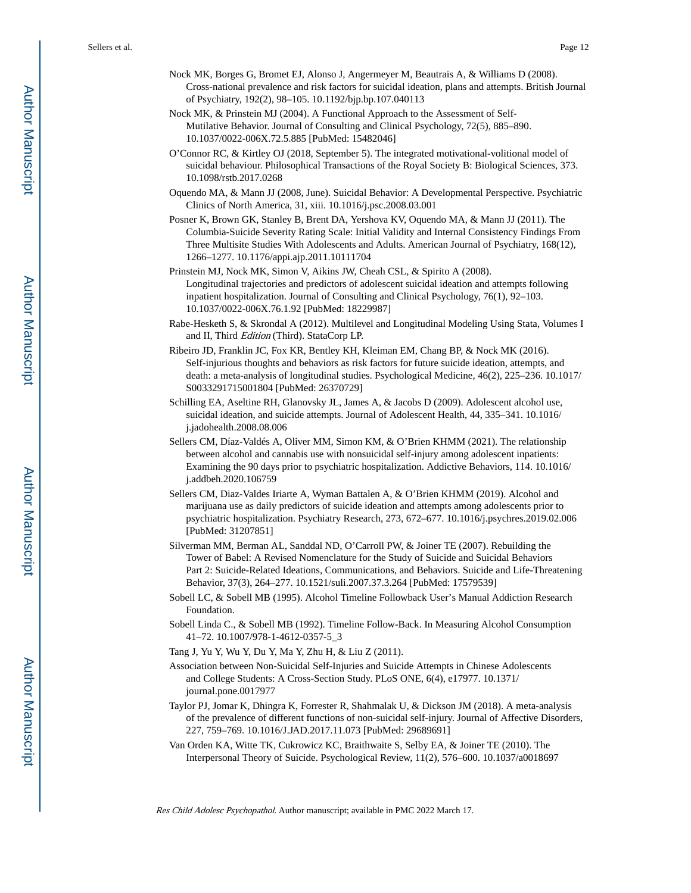- Nock MK, Borges G, Bromet EJ, Alonso J, Angermeyer M, Beautrais A, & Williams D (2008). Cross-national prevalence and risk factors for suicidal ideation, plans and attempts. British Journal of Psychiatry, 192(2), 98–105. 10.1192/bjp.bp.107.040113
- Nock MK, & Prinstein MJ (2004). A Functional Approach to the Assessment of Self-Mutilative Behavior. Journal of Consulting and Clinical Psychology, 72(5), 885–890. 10.1037/0022-006X.72.5.885 [PubMed: 15482046]
- O'Connor RC, & Kirtley OJ (2018, September 5). The integrated motivational-volitional model of suicidal behaviour. Philosophical Transactions of the Royal Society B: Biological Sciences, 373. 10.1098/rstb.2017.0268
- Oquendo MA, & Mann JJ (2008, June). Suicidal Behavior: A Developmental Perspective. Psychiatric Clinics of North America, 31, xiii. 10.1016/j.psc.2008.03.001
- Posner K, Brown GK, Stanley B, Brent DA, Yershova KV, Oquendo MA, & Mann JJ (2011). The Columbia-Suicide Severity Rating Scale: Initial Validity and Internal Consistency Findings From Three Multisite Studies With Adolescents and Adults. American Journal of Psychiatry, 168(12), 1266–1277. 10.1176/appi.ajp.2011.10111704
- Prinstein MJ, Nock MK, Simon V, Aikins JW, Cheah CSL, & Spirito A (2008). Longitudinal trajectories and predictors of adolescent suicidal ideation and attempts following inpatient hospitalization. Journal of Consulting and Clinical Psychology, 76(1), 92–103. 10.1037/0022-006X.76.1.92 [PubMed: 18229987]
- Rabe-Hesketh S, & Skrondal A (2012). Multilevel and Longitudinal Modeling Using Stata, Volumes I and II, Third Edition (Third). StataCorp LP.
- Ribeiro JD, Franklin JC, Fox KR, Bentley KH, Kleiman EM, Chang BP, & Nock MK (2016). Self-injurious thoughts and behaviors as risk factors for future suicide ideation, attempts, and death: a meta-analysis of longitudinal studies. Psychological Medicine, 46(2), 225–236. 10.1017/ S0033291715001804 [PubMed: 26370729]
- Schilling EA, Aseltine RH, Glanovsky JL, James A, & Jacobs D (2009). Adolescent alcohol use, suicidal ideation, and suicide attempts. Journal of Adolescent Health, 44, 335–341. 10.1016/ j.jadohealth.2008.08.006
- Sellers CM, Díaz-Valdés A, Oliver MM, Simon KM, & O'Brien KHMM (2021). The relationship between alcohol and cannabis use with nonsuicidal self-injury among adolescent inpatients: Examining the 90 days prior to psychiatric hospitalization. Addictive Behaviors, 114. 10.1016/ j.addbeh.2020.106759
- Sellers CM, Diaz-Valdes Iriarte A, Wyman Battalen A, & O'Brien KHMM (2019). Alcohol and marijuana use as daily predictors of suicide ideation and attempts among adolescents prior to psychiatric hospitalization. Psychiatry Research, 273, 672–677. 10.1016/j.psychres.2019.02.006 [PubMed: 31207851]
- Silverman MM, Berman AL, Sanddal ND, O'Carroll PW, & Joiner TE (2007). Rebuilding the Tower of Babel: A Revised Nomenclature for the Study of Suicide and Suicidal Behaviors Part 2: Suicide-Related Ideations, Communications, and Behaviors. Suicide and Life-Threatening Behavior, 37(3), 264–277. 10.1521/suli.2007.37.3.264 [PubMed: 17579539]
- Sobell LC, & Sobell MB (1995). Alcohol Timeline Followback User's Manual Addiction Research Foundation.
- Sobell Linda C., & Sobell MB (1992). Timeline Follow-Back. In Measuring Alcohol Consumption 41–72. 10.1007/978-1-4612-0357-5\_3
- Tang J, Yu Y, Wu Y, Du Y, Ma Y, Zhu H, & Liu Z (2011).
- Association between Non-Suicidal Self-Injuries and Suicide Attempts in Chinese Adolescents and College Students: A Cross-Section Study. PLoS ONE, 6(4), e17977. 10.1371/ journal.pone.0017977
- Taylor PJ, Jomar K, Dhingra K, Forrester R, Shahmalak U, & Dickson JM (2018). A meta-analysis of the prevalence of different functions of non-suicidal self-injury. Journal of Affective Disorders, 227, 759–769. 10.1016/J.JAD.2017.11.073 [PubMed: 29689691]
- Van Orden KA, Witte TK, Cukrowicz KC, Braithwaite S, Selby EA, & Joiner TE (2010). The Interpersonal Theory of Suicide. Psychological Review, 11(2), 576–600. 10.1037/a0018697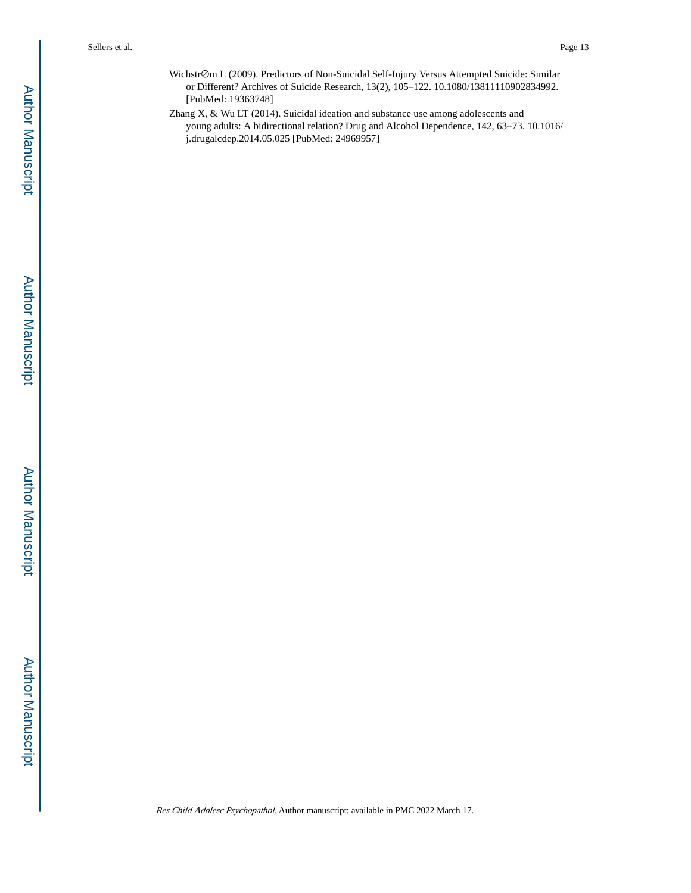Wichstr⊘m L (2009). Predictors of Non-Suicidal Self-Injury Versus Attempted Suicide: Similar or Different? Archives of Suicide Research, 13(2), 105–122. 10.1080/13811110902834992. [PubMed: 19363748]

Zhang X, & Wu LT (2014). Suicidal ideation and substance use among adolescents and young adults: A bidirectional relation? Drug and Alcohol Dependence, 142, 63–73. 10.1016/ j.drugalcdep.2014.05.025 [PubMed: 24969957]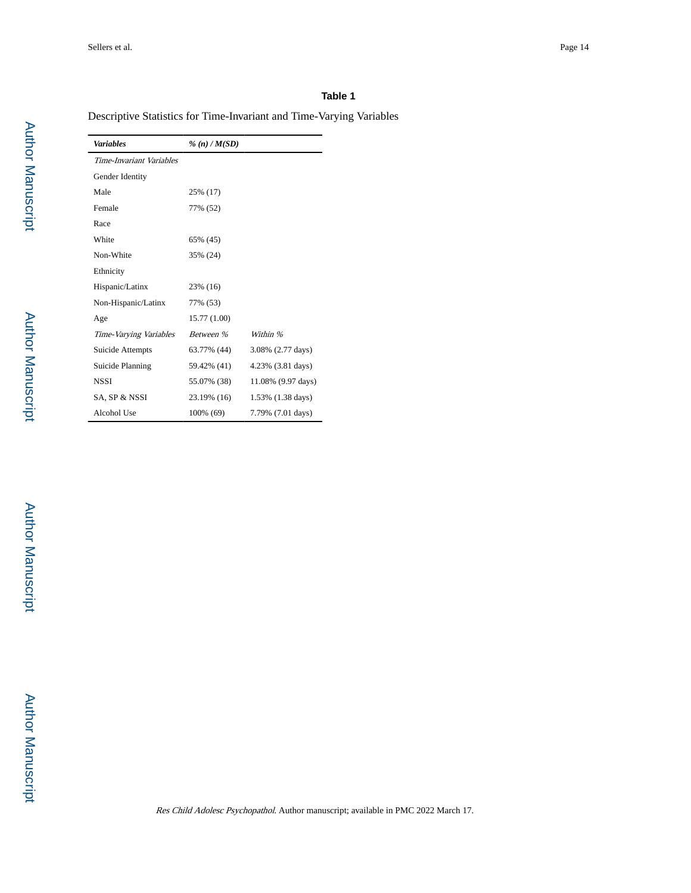# **Table 1**

Descriptive Statistics for Time-Invariant and Time-Varying Variables

| <b>Variables</b>         | $\%$ (n) / M(SD) |                    |  |
|--------------------------|------------------|--------------------|--|
| Time-Invariant Variables |                  |                    |  |
| Gender Identity          |                  |                    |  |
| Male                     | 25% (17)         |                    |  |
| Female                   | 77% (52)         |                    |  |
| Race                     |                  |                    |  |
| White                    | 65% (45)         |                    |  |
| Non-White                | 35% (24)         |                    |  |
| Ethnicity                |                  |                    |  |
| Hispanic/Latinx          | 23% (16)         |                    |  |
| Non-Hispanic/Latinx      | 77% (53)         |                    |  |
| Age                      | 15.77 (1.00)     |                    |  |
| Time-Varying Variables   | Between %        | Within %           |  |
| Suicide Attempts         | 63.77% (44)      | 3.08% (2.77 days)  |  |
| Suicide Planning         | 59.42% (41)      | 4.23% (3.81 days)  |  |
| <b>NSSI</b>              | 55.07% (38)      | 11.08% (9.97 days) |  |
| SA. SP & NSSI            | 23.19% (16)      | 1.53% (1.38 days)  |  |
| Alcohol Use              | 100% (69)        | 7.79% (7.01 days)  |  |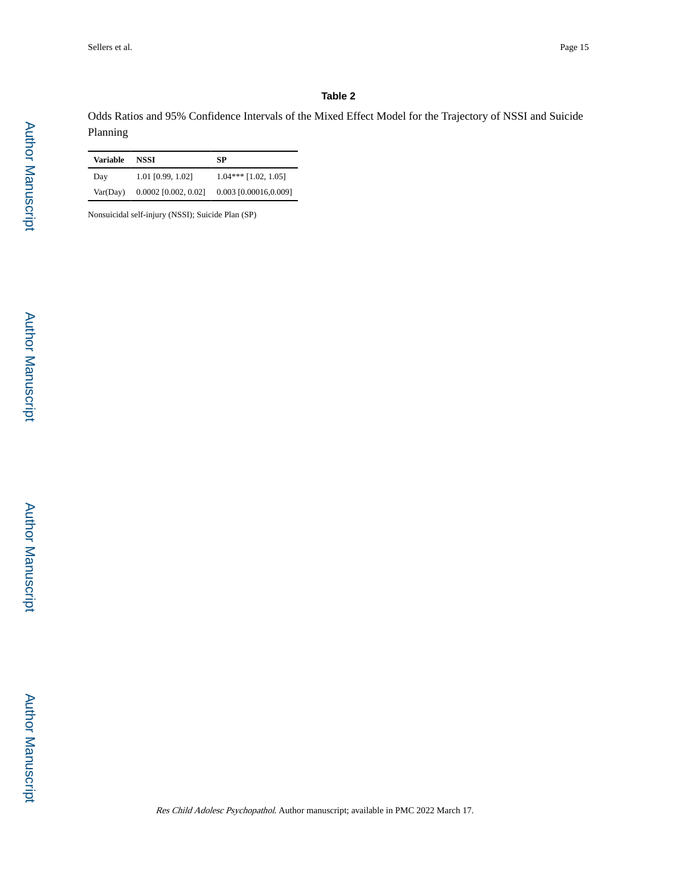# **Table 2**

Odds Ratios and 95% Confidence Intervals of the Mixed Effect Model for the Trajectory of NSSI and Suicide Planning

| Variable | NSSI                   | SP                     |
|----------|------------------------|------------------------|
| Day      | 1.01 [0.99, 1.02]      | $1.04***$ [1.02, 1.05] |
| Var(Day) | $0.0002$ [0.002, 0.02] | 0.003 [0.00016,0.009]  |

Nonsuicidal self-injury (NSSI); Suicide Plan (SP)